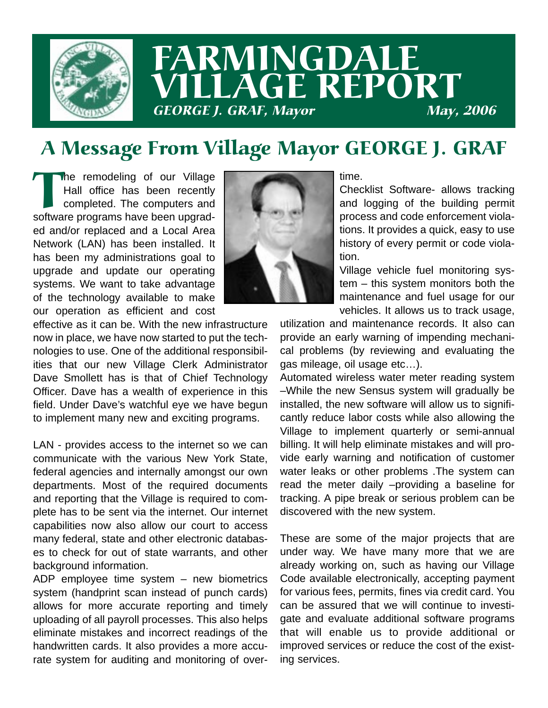

# FARMINGDALE LLAGE REPORT **GEORGE J. GRAF, Mayor**

# A Message From Village Mayor GEORGE J. GRAF

The remodeling of our Village<br>Hall office has been recently<br>completed. The computers and<br>software programs have been upgrad-Hall office has been recently completed. The computers and ed and/or replaced and a Local Area Network (LAN) has been installed. It has been my administrations goal to upgrade and update our operating systems. We want to take advantage of the technology available to make our operation as efficient and cost



effective as it can be. With the new infrastructure now in place, we have now started to put the technologies to use. One of the additional responsibilities that our new Village Clerk Administrator Dave Smollett has is that of Chief Technology Officer. Dave has a wealth of experience in this field. Under Dave's watchful eye we have begun to implement many new and exciting programs.

LAN - provides access to the internet so we can communicate with the various New York State, federal agencies and internally amongst our own departments. Most of the required documents and reporting that the Village is required to complete has to be sent via the internet. Our internet capabilities now also allow our court to access many federal, state and other electronic databases to check for out of state warrants, and other background information.

ADP employee time system – new biometrics system (handprint scan instead of punch cards) allows for more accurate reporting and timely uploading of all payroll processes. This also helps eliminate mistakes and incorrect readings of the handwritten cards. It also provides a more accurate system for auditing and monitoring of overtime.

Checklist Software- allows tracking and logging of the building permit process and code enforcement violations. It provides a quick, easy to use history of every permit or code violation.

Village vehicle fuel monitoring system – this system monitors both the maintenance and fuel usage for our vehicles. It allows us to track usage,

utilization and maintenance records. It also can provide an early warning of impending mechanical problems (by reviewing and evaluating the gas mileage, oil usage etc…).

Automated wireless water meter reading system –While the new Sensus system will gradually be installed, the new software will allow us to significantly reduce labor costs while also allowing the Village to implement quarterly or semi-annual billing. It will help eliminate mistakes and will provide early warning and notification of customer water leaks or other problems .The system can read the meter daily –providing a baseline for tracking. A pipe break or serious problem can be discovered with the new system.

These are some of the major projects that are under way. We have many more that we are already working on, such as having our Village Code available electronically, accepting payment for various fees, permits, fines via credit card. You can be assured that we will continue to investigate and evaluate additional software programs that will enable us to provide additional or improved services or reduce the cost of the existing services.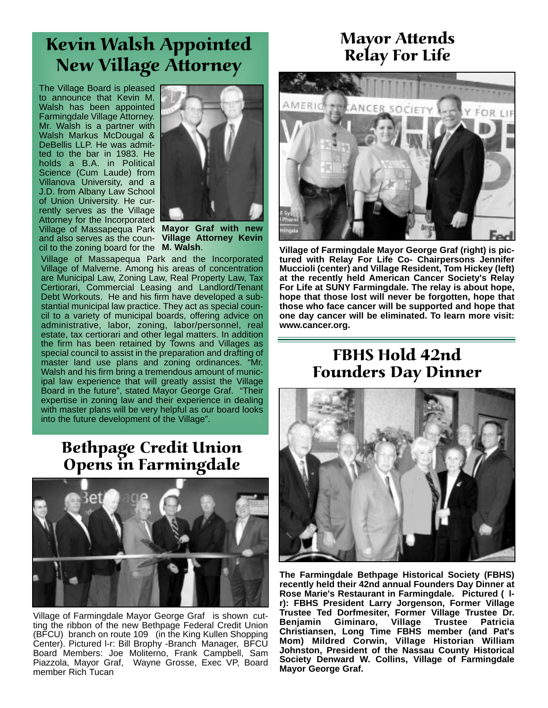# Kevin Walsh Appointed New Village Attorney

The Village Board is pleased to announce that Kevin M. Walsh has been appointed Farmingdale Village Attorney. Mr. Walsh is a partner with Walsh Markus McDougal & DeBellis LLP. He was admitted to the bar in 1983. He holds a B.A. in Political Science (Cum Laude) from Villanova University, and a J.D. from Albany Law School of Union University. He currently serves as the Village Attorney for the Incorporated Village of Massapequa Park **Mayor Graf with new** and also serves as the coun-**Village Attorney Kevin**  $\overline{c}$  cil to the zoning board for the  $\overline{M}$ . Walsh.



Village of Massapequa Park and the Incorporated Village of Malverne. Among his areas of concentration are Municipal Law, Zoning Law, Real Property Law, Tax Certiorari, Commercial Leasing and Landlord/Tenant Debt Workouts. He and his firm have developed a substantial municipal law practice. They act as special council to a variety of municipal boards, offering advice on administrative, labor, zoning, labor/personnel, real estate, tax certiorari and other legal matters. In addition the firm has been retained by Towns and Villages as special council to assist in the preparation and drafting of master land use plans and zoning ordinances. "Mr. Walsh and his firm bring a tremendous amount of municipal law experience that will greatly assist the Village Board in the future", stated Mayor George Graf. "Their expertise in zoning law and their experience in dealing with master plans will be very helpful as our board looks into the future development of the Village".

## Bethpage Credit Union Opens in Farmingdale



Village of Farmingdale Mayor George Graf is shown cutting the ribbon of the new Bethpage Federal Credit Union (BFCU) branch on route 109 (in the King Kullen Shopping Center). Pictured l-r: Bill Brophy -Branch Manager, BFCU Board Members: Joe Moliterno, Frank Campbell, Sam Piazzola, Mayor Graf, Wayne Grosse, Exec VP, Board member Rich Tucan

## Mayor Attends Relay For Life



**M. Walsh**. **Village of Farmingdale Mayor George Graf (right) is pictured with Relay For Life Co- Chairpersons Jennifer Muccioli (center) and Village Resident, Tom Hickey (left) at the recently held American Cancer Society's Relay For Life at SUNY Farmingdale. The relay is about hope, hope that those lost will never be forgotten, hope that those who face cancer will be supported and hope that one day cancer will be eliminated. To learn more visit: www.cancer.org.**

### FBHS Hold 42nd Founders Day Dinner



**The Farmingdale Bethpage Historical Society (FBHS) recently held their 42nd annual Founders Day Dinner at Rose Marie's Restaurant in Farmingdale. Pictured ( lr): FBHS President Larry Jorgenson, Former Village Trustee Ted Dorfmesiter, Former Village Trustee Dr. Benjamin Giminaro, Village Trustee Patricia Christiansen, Long Time FBHS member (and Pat's Mom) Mildred Corwin, Village Historian William Johnston, President of the Nassau County Historical Society Denward W. Collins, Village of Farmingdale Mayor George Graf.**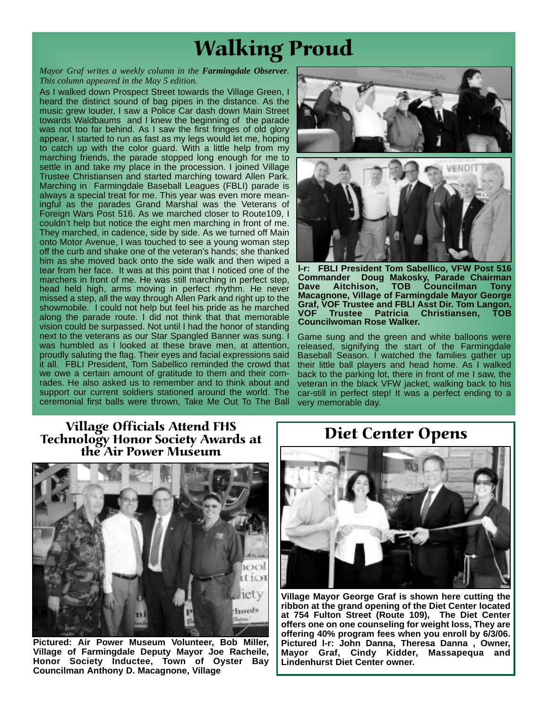# Walking Proud

#### *Mayor Graf writes a weekly column in the Farmingdale Observer. This column appeared in the May 5 edition.*

As I walked down Prospect Street towards the Village Green, I heard the distinct sound of bag pipes in the distance. As the music grew louder, I saw a Police Car dash down Main Street towards Waldbaums and I knew the beginning of the parade was not too far behind. As I saw the first fringes of old glory appear, I started to run as fast as my legs would let me, hoping to catch up with the color guard. With a little help from my marching friends, the parade stopped long enough for me to settle in and take my place in the procession. I joined Village Trustee Christiansen and started marching toward Allen Park. Marching in Farmingdale Baseball Leagues (FBLI) parade is always a special treat for me. This year was even more meaningful as the parades Grand Marshal was the Veterans of Foreign Wars Post 516. As we marched closer to Route109, I couldn't help but notice the eight men marching in front of me. They marched, in cadence, side by side. As we turned off Main onto Motor Avenue, I was touched to see a young woman step off the curb and shake one of the veteran's hands; she thanked him as she moved back onto the side walk and then wiped a tear from her face. It was at this point that I noticed one of the marchers in front of me. He was still marching in perfect step, head held high, arms moving in perfect rhythm. He never missed a step, all the way through Allen Park and right up to the showmobile. I could not help but feel his pride as he marched along the parade route. I did not think that that memorable vision could be surpassed. Not until I had the honor of standing next to the veterans as our Star Spangled Banner was sung. I was humbled as I looked at these brave men, at attention, proudly saluting the flag. Their eyes and facial expressions said it all. FBLI President, Tom Sabellico reminded the crowd that we owe a certain amount of gratitude to them and their comrades. He also asked us to remember and to think about and support our current soldiers stationed around the world. The ceremonial first balls were thrown, Take Me Out To The Ball

**l-r: FBLI President Tom Sabellico, VFW Post 516 Commander Doug Makosky, Parade Chairman Dave Aitchison, TOB Councilman Tony Macagnone, Village of Farmingdale Mayor George Graf, VOF Trustee and FBLI Asst Dir. Tom Langon, VOF Trustee Patricia Christiansen, TOB Councilwoman Rose Walker.**

Game sung and the green and white balloons were released, signifying the start of the Farmingdale Baseball Season. I watched the families gather up their little ball players and head home. As I walked back to the parking lot, there in front of me I saw, the veteran in the black VFW jacket, walking back to his car-still in perfect step! It was a perfect ending to a very memorable day.

#### Village Officials Attend FHS Technology Honor Society Awards at the Air Power Museum



**Pictured: Air Power Museum Volunteer, Bob Miller, Village of Farmingdale Deputy Mayor Joe Racheile, Honor Society Inductee, Town of Oyster Bay Councilman Anthony D. Macagnone, Village**

#### Diet Center Opens



**Village Mayor George Graf is shown here cutting the ribbon at the grand opening of the Diet Center located at 754 Fulton Street (Route 109), The Diet Center offers one on one counseling for weight loss, They are offering 40% program fees when you enroll by 6/3/06. Pictured l-r: John Danna, Theresa Danna , Owner, Mayor Graf, Cindy Kidder, Massapequa and Lindenhurst Diet Center owner.**